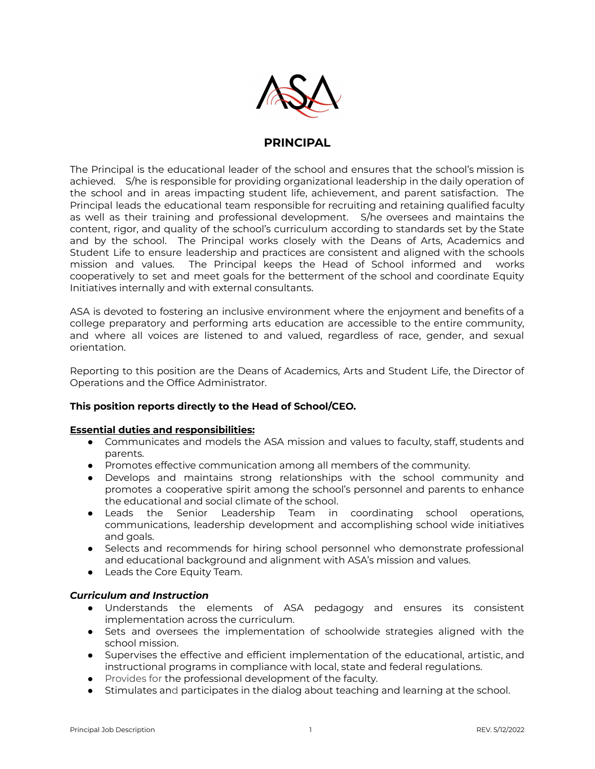

# **PRINCIPAL**

The Principal is the educational leader of the school and ensures that the school's mission is achieved. S/he is responsible for providing organizational leadership in the daily operation of the school and in areas impacting student life, achievement, and parent satisfaction. The Principal leads the educational team responsible for recruiting and retaining qualified faculty as well as their training and professional development. S/he oversees and maintains the content, rigor, and quality of the school's curriculum according to standards set by the State and by the school. The Principal works closely with the Deans of Arts, Academics and Student Life to ensure leadership and practices are consistent and aligned with the schools mission and values. The Principal keeps the Head of School informed and works cooperatively to set and meet goals for the betterment of the school and coordinate Equity Initiatives internally and with external consultants.

ASA is devoted to fostering an inclusive environment where the enjoyment and benefits of a college preparatory and performing arts education are accessible to the entire community, and where all voices are listened to and valued, regardless of race, gender, and sexual orientation.

Reporting to this position are the Deans of Academics, Arts and Student Life, the Director of Operations and the Office Administrator.

# **This position reports directly to the Head of School/CEO.**

# **Essential duties and responsibilities:**

- Communicates and models the ASA mission and values to faculty, staff, students and parents.
- Promotes effective communication among all members of the community.
- Develops and maintains strong relationships with the school community and promotes a cooperative spirit among the school's personnel and parents to enhance the educational and social climate of the school.
- Leads the Senior Leadership Team in coordinating school operations, communications, leadership development and accomplishing school wide initiatives and goals.
- Selects and recommends for hiring school personnel who demonstrate professional and educational background and alignment with ASA's mission and values.
- Leads the Core Equity Team.

# *Curriculum and Instruction*

- Understands the elements of ASA pedagogy and ensures its consistent implementation across the curriculum.
- Sets and oversees the implementation of schoolwide strategies aligned with the school mission.
- Supervises the effective and efficient implementation of the educational, artistic, and instructional programs in compliance with local, state and federal regulations.
- Provides for the professional development of the faculty.
- Stimulates and participates in the dialog about teaching and learning at the school.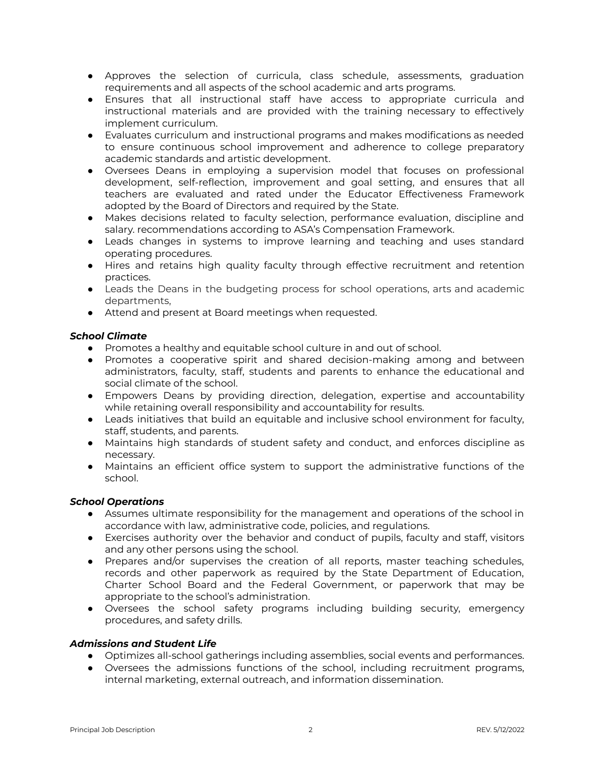- Approves the selection of curricula, class schedule, assessments, graduation requirements and all aspects of the school academic and arts programs.
- Ensures that all instructional staff have access to appropriate curricula and instructional materials and are provided with the training necessary to effectively implement curriculum.
- Evaluates curriculum and instructional programs and makes modifications as needed to ensure continuous school improvement and adherence to college preparatory academic standards and artistic development.
- Oversees Deans in employing a supervision model that focuses on professional development, self-reflection, improvement and goal setting, and ensures that all teachers are evaluated and rated under the Educator Effectiveness Framework adopted by the Board of Directors and required by the State.
- Makes decisions related to faculty selection, performance evaluation, discipline and salary. recommendations according to ASA's Compensation Framework.
- Leads changes in systems to improve learning and teaching and uses standard operating procedures.
- Hires and retains high quality faculty through effective recruitment and retention practices.
- Leads the Deans in the budgeting process for school operations, arts and academic departments,
- Attend and present at Board meetings when requested.

# *School Climate*

- Promotes a healthy and equitable school culture in and out of school.
- Promotes a cooperative spirit and shared decision-making among and between administrators, faculty, staff, students and parents to enhance the educational and social climate of the school.
- Empowers Deans by providing direction, delegation, expertise and accountability while retaining overall responsibility and accountability for results.
- Leads initiatives that build an equitable and inclusive school environment for faculty, staff, students, and parents.
- Maintains high standards of student safety and conduct, and enforces discipline as necessary.
- Maintains an efficient office system to support the administrative functions of the school.

# *School Operations*

- Assumes ultimate responsibility for the management and operations of the school in accordance with law, administrative code, policies, and regulations.
- Exercises authority over the behavior and conduct of pupils, faculty and staff, visitors and any other persons using the school.
- Prepares and/or supervises the creation of all reports, master teaching schedules, records and other paperwork as required by the State Department of Education, Charter School Board and the Federal Government, or paperwork that may be appropriate to the school's administration.
- Oversees the school safety programs including building security, emergency procedures, and safety drills.

# *Admissions and Student Life*

- Optimizes all-school gatherings including assemblies, social events and performances.
- Oversees the admissions functions of the school, including recruitment programs, internal marketing, external outreach, and information dissemination.